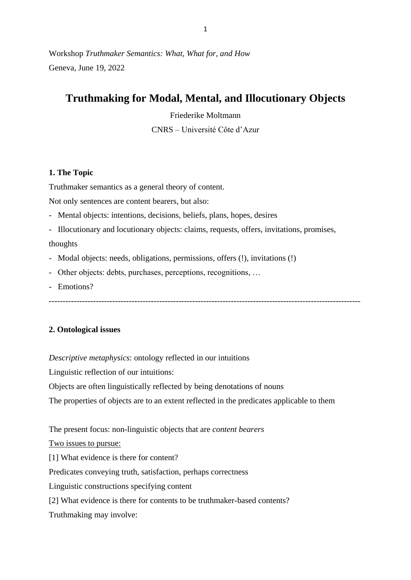Workshop *Truthmaker Semantics: What, What for, and How* Geneva, June 19, 2022

# **Truthmaking for Modal, Mental, and Illocutionary Objects**

Friederike Moltmann

CNRS – Université Côte d'Azur

## **1. The Topic**

Truthmaker semantics as a general theory of content.

Not only sentences are content bearers, but also:

- Mental objects: intentions, decisions, beliefs, plans, hopes, desires
- Illocutionary and locutionary objects: claims, requests, offers, invitations, promises, thoughts

-----------------------------------------------------------------------------------------------------------------

- Modal objects: needs, obligations, permissions, offers (!), invitations (!)
- Other objects: debts, purchases, perceptions, recognitions, …
- Emotions?

## **2. Ontological issues**

*Descriptive metaphysics*: ontology reflected in our intuitions

Linguistic reflection of our intuitions:

Objects are often linguistically reflected by being denotations of nouns

The properties of objects are to an extent reflected in the predicates applicable to them

The present focus: non-linguistic objects that are *content bearers*

Two issues to pursue:

[1] What evidence is there for content?

Predicates conveying truth, satisfaction, perhaps correctness

Linguistic constructions specifying content

[2] What evidence is there for contents to be truthmaker-based contents?

Truthmaking may involve: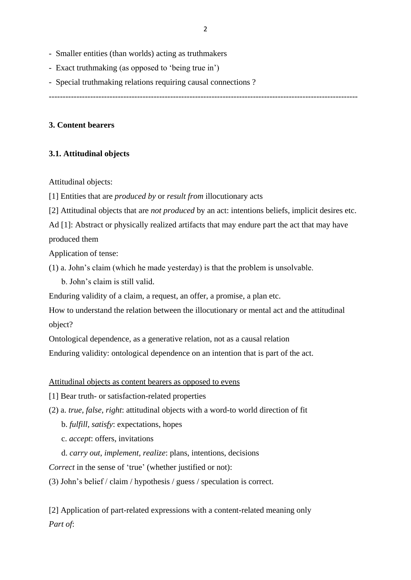- Smaller entities (than worlds) acting as truthmakers
- Exact truthmaking (as opposed to 'being true in')
- Special truthmaking relations requiring causal connections ?

----------------------------------------------------------------------------------------------------------------

## **3. Content bearers**

## **3.1. Attitudinal objects**

Attitudinal objects:

[1] Entities that are *produced by* or *result from* illocutionary acts

[2] Attitudinal objects that are *not produced* by an act: intentions beliefs, implicit desires etc.

Ad [1]: Abstract or physically realized artifacts that may endure part the act that may have produced them

Application of tense:

(1) a. John's claim (which he made yesterday) is that the problem is unsolvable.

b. John's claim is still valid.

Enduring validity of a claim, a request, an offer, a promise, a plan etc.

How to understand the relation between the illocutionary or mental act and the attitudinal object?

Ontological dependence, as a generative relation, not as a causal relation

Enduring validity: ontological dependence on an intention that is part of the act.

Attitudinal objects as content bearers as opposed to evens

- [1] Bear truth- or satisfaction-related properties
- (2) a. *true, false, right*: attitudinal objects with a word-to world direction of fit
	- b. *fulfill, satisfy*: expectations, hopes
	- c. *accept*: offers, invitations
	- d. *carry out, implement, realize*: plans, intentions, decisions

*Correct* in the sense of 'true' (whether justified or not):

(3) John's belief / claim / hypothesis / guess / speculation is correct.

[2] Application of part-related expressions with a content-related meaning only *Part of*: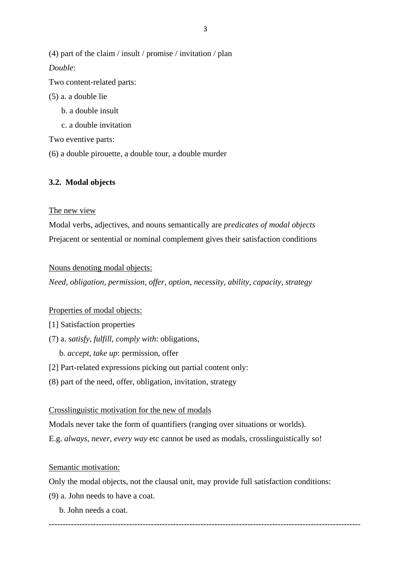(4) part of the claim / insult / promise / invitation / plan

*Double*:

Two content-related parts:

# (5) a. a double lie

- b. a double insult
- c. a double invitation

Two eventive parts:

(6) a double pirouette, a double tour, a double murder

# **3.2. Modal objects**

# The new view

Modal verbs, adjectives, and nouns semantically are *predicates of modal objects* Prejacent or sentential or nominal complement gives their satisfaction conditions

# Nouns denoting modal objects:

*Need, obligation, permission, offer, option, necessity, ability, capacity, strategy*

# Properties of modal objects:

- [1] Satisfaction properties
- (7) a. *satisfy, fulfill, comply with*: obligations,
	- b. *accept, take up*: permission, offer
- [2] Part-related expressions picking out partial content only:
- (8) part of the need, offer, obligation, invitation, strategy

## Crosslinguistic motivation for the new of modals

Modals never take the form of quantifiers (ranging over situations or worlds).

E.g. *always, never, every way* etc cannot be used as modals, crosslinguistically so!

# Semantic motivation:

Only the modal objects, not the clausal unit, may provide full satisfaction conditions:

- (9) a. John needs to have a coat.
	- b. John needs a coat.

-----------------------------------------------------------------------------------------------------------------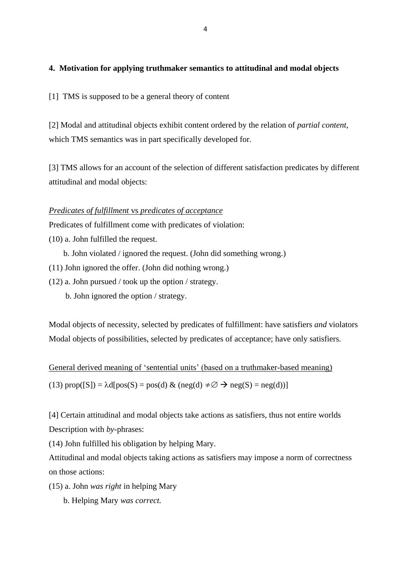## **4. Motivation for applying truthmaker semantics to attitudinal and modal objects**

[1] TMS is supposed to be a general theory of content

[2] Modal and attitudinal objects exhibit content ordered by the relation of *partial content*, which TMS semantics was in part specifically developed for.

[3] TMS allows for an account of the selection of different satisfaction predicates by different attitudinal and modal objects:

## *Predicates of fulfillment* vs *predicates of acceptance*

Predicates of fulfillment come with predicates of violation:

(10) a. John fulfilled the request.

b. John violated / ignored the request. (John did something wrong.)

- (11) John ignored the offer. (John did nothing wrong.)
- (12) a. John pursued / took up the option / strategy.
	- b. John ignored the option / strategy.

Modal objects of necessity, selected by predicates of fulfillment: have satisfiers *and* violators Modal objects of possibilities, selected by predicates of acceptance; have only satisfiers.

General derived meaning of 'sentential units' (based on a truthmaker-based meaning) (13)  $prop([S]) = \lambda d[pos(S) = pos(d) \& (neg(d) \neq \emptyset \rightarrow neg(S) = neg(d))]$ 

[4] Certain attitudinal and modal objects take actions as satisfiers, thus not entire worlds Description with *by*-phrases:

(14) John fulfilled his obligation by helping Mary.

Attitudinal and modal objects taking actions as satisfiers may impose a norm of correctness on those actions:

- (15) a. John *was right* in helping Mary
	- b. Helping Mary *was correct.*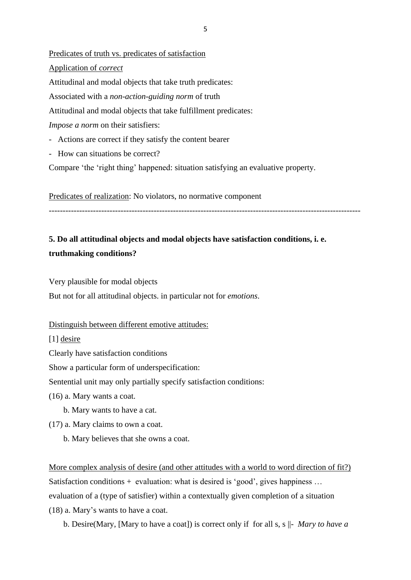Predicates of truth vs. predicates of satisfaction Application of *correct* Attitudinal and modal objects that take truth predicates: Associated with a *non-action-guiding norm* of truth Attitudinal and modal objects that take fulfillment predicates: *Impose a norm* on their satisfiers: - Actions are correct if they satisfy the content bearer

- How can situations be correct?
- Compare 'the 'right thing' happened: situation satisfying an evaluative property.

Predicates of realization: No violators, no normative component

-----------------------------------------------------------------------------------------------------------------

# **5. Do all attitudinal objects and modal objects have satisfaction conditions, i. e. truthmaking conditions?**

Very plausible for modal objects

But not for all attitudinal objects. in particular not for *emotions*.

#### Distinguish between different emotive attitudes:

[1] desire

Clearly have satisfaction conditions

Show a particular form of underspecification:

Sentential unit may only partially specify satisfaction conditions:

(16) a. Mary wants a coat.

- b. Mary wants to have a cat.
- (17) a. Mary claims to own a coat.
	- b. Mary believes that she owns a coat.

More complex analysis of desire (and other attitudes with a world to word direction of fit?) Satisfaction conditions + evaluation: what is desired is 'good', gives happiness ... evaluation of a (type of satisfier) within a contextually given completion of a situation (18) a. Mary's wants to have a coat.

b. Desire(Mary, [Mary to have a coat]) is correct only if for all s, s ||- *Mary to have a* 

5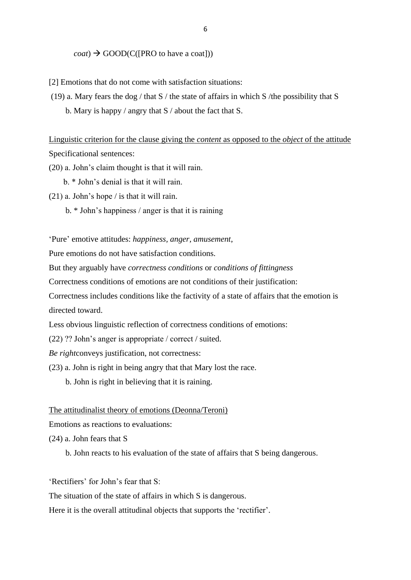#### *coat*)  $\rightarrow$  GOOD(C([PRO to have a coat]))

[2] Emotions that do not come with satisfaction situations:

(19) a. Mary fears the dog / that  $S$  / the state of affairs in which  $S$  /the possibility that  $S$ b. Mary is happy / angry that  $S$  / about the fact that  $S$ .

Linguistic criterion for the clause giving the *content* as opposed to the *object* of the attitude Specificational sentences:

(20) a. John's claim thought is that it will rain.

b. \* John's denial is that it will rain.

(21) a. John's hope / is that it will rain.

b. \* John's happiness / anger is that it is raining

'Pure' emotive attitudes: *happiness, anger, amusement*,

Pure emotions do not have satisfaction conditions.

But they arguably have *correctness conditions* or *conditions of fittingness*

Correctness conditions of emotions are not conditions of their justification:

Correctness includes conditions like the factivity of a state of affairs that the emotion is directed toward.

Less obvious linguistic reflection of correctness conditions of emotions:

(22) ?? John's anger is appropriate / correct / suited.

*Be right*conveys justification, not correctness:

- (23) a. John is right in being angry that that Mary lost the race.
	- b. John is right in believing that it is raining.

## The attitudinalist theory of emotions (Deonna/Teroni)

Emotions as reactions to evaluations:

(24) a. John fears that S

b. John reacts to his evaluation of the state of affairs that S being dangerous.

'Rectifiers' for John's fear that S:

The situation of the state of affairs in which S is dangerous.

Here it is the overall attitudinal objects that supports the 'rectifier'.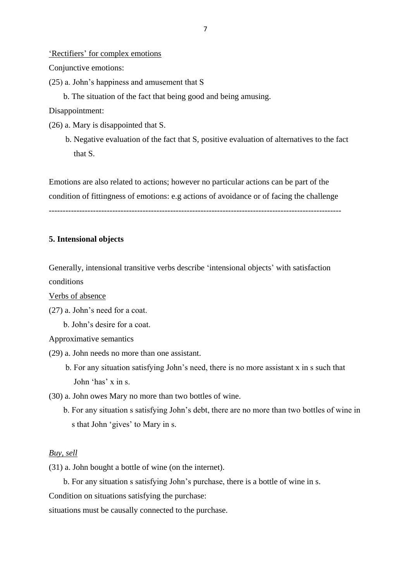### 'Rectifiers' for complex emotions

Conjunctive emotions:

- (25) a. John's happiness and amusement that S
	- b. The situation of the fact that being good and being amusing.

Disappointment:

- (26) a. Mary is disappointed that S.
	- b. Negative evaluation of the fact that S, positive evaluation of alternatives to the fact that S.

Emotions are also related to actions; however no particular actions can be part of the condition of fittingness of emotions: e.g actions of avoidance or of facing the challenge

----------------------------------------------------------------------------------------------------------

### **5. Intensional objects**

Generally, intensional transitive verbs describe 'intensional objects' with satisfaction conditions

Verbs of absence

- (27) a. John's need for a coat.
	- b. John's desire for a coat.

Approximative semantics

- (29) a. John needs no more than one assistant.
	- b. For any situation satisfying John's need, there is no more assistant x in s such that John 'has' x in s.
- (30) a. John owes Mary no more than two bottles of wine.
	- b. For any situation s satisfying John's debt, there are no more than two bottles of wine in s that John 'gives' to Mary in s.

## *Buy, sell*

(31) a. John bought a bottle of wine (on the internet).

b. For any situation s satisfying John's purchase, there is a bottle of wine in s.

Condition on situations satisfying the purchase:

situations must be causally connected to the purchase.